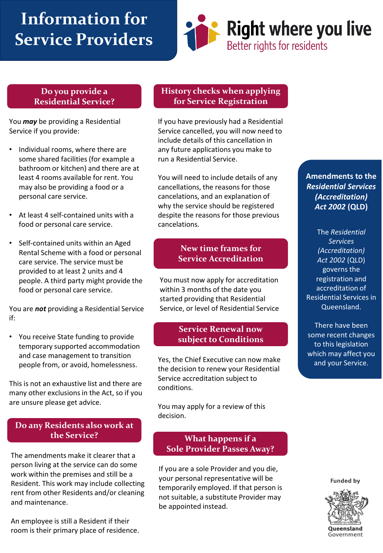# **Information for Service Providers**



#### **Do you provide a Residential Service?**

You *may* be providing a Residential Service if you provide:

- Individual rooms, where there are some shared facilities (for example a bathroom or kitchen) and there are at least 4 rooms available for rent. You may also be providing a food or a personal care service.
- At least 4 self-contained units with a food or personal care service.
- Self-contained units within an Aged Rental Scheme with a food or personal care service. The service must be provided to at least 2 units and 4 people. A third party might provide the food or personal care service.

You are *not* providing a Residential Service if:

• You receive State funding to provide temporary supported accommodation and case management to transition people from, or avoid, homelessness.

This is not an exhaustive list and there are many other exclusions in the Act, so if you are unsure please get advice.

# **Do any Residents also work at the Service?**

The amendments make it clearer that a person living at the service can do some work within the premises and still be a Resident. This work may include collecting rent from other Residents and/or cleaning and maintenance.

An employee is still a Resident if their room is their primary place of residence.

#### **History checks when applying for Service Registration**

If you have previously had a Residential Service cancelled, you will now need to include details of this cancellation in any future applications you make to run a Residential Service.

You will need to include details of any cancellations, the reasons for those cancelations, and an explanation of why the service should be registered despite the reasons for those previous cancelations.

# **New time frames for Service Accreditation**

You must now apply for accreditation within 3 months of the date you started providing that Residential Service, or level of Residential Service

### **Service Renewal now subject to Conditions**

Yes, the Chief Executive can now make the decision to renew your Residential Service accreditation subject to conditions.

You may apply for a review of this decision.

# **What happens if a Sole Provider Passes Away?**

If you are a sole Provider and you die, your personal representative will be temporarily employed. If that person is not suitable, a substitute Provider may be appointed instead.

**Amendments to the**  *Residential Services (Accreditation) Act 2002* **(QLD)**

The *Residential Services (Accreditation) Act 2002* (QLD) governs the registration and accreditation of Residential Services in Queensland.

There have been some recent changes to this legislation which may affect you and your Service.

**Funded by**